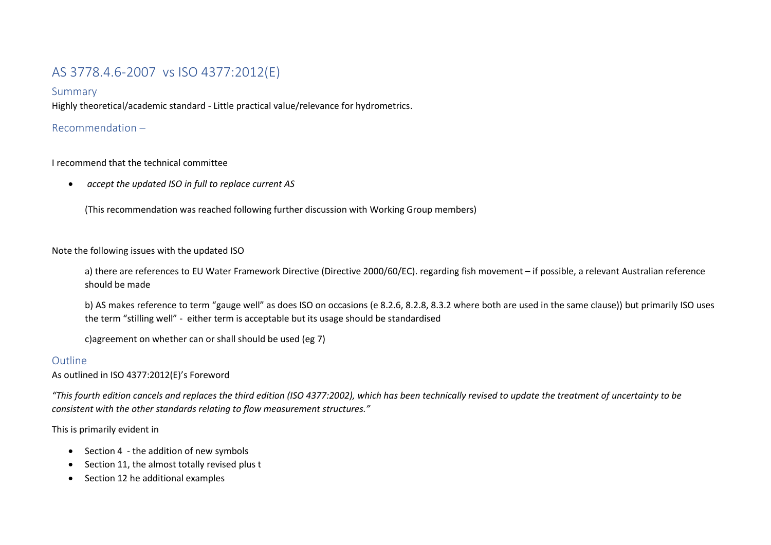# AS 3778.4.6-2007 vs ISO 4377:2012(E)

#### Summary

Highly theoretical/academic standard - Little practical value/relevance for hydrometrics.

## Recommendation –

## I recommend that the technical committee

• *accept the updated ISO in full to replace current AS*

(This recommendation was reached following further discussion with Working Group members)

#### Note the following issues with the updated ISO

a) there are references to EU Water Framework Directive (Directive 2000/60/EC). regarding fish movement – if possible, a relevant Australian reference should be made

b) AS makes reference to term "gauge well" as does ISO on occasions (e 8.2.6, 8.2.8, 8.3.2 where both are used in the same clause)) but primarily ISO uses the term "stilling well" - either term is acceptable but its usage should be standardised

c)agreement on whether can or shall should be used (eg 7)

# Outline

As outlined in ISO 4377:2012(E)'s Foreword

*"This fourth edition cancels and replaces the third edition (ISO 4377:2002), which has been technically revised to update the treatment of uncertainty to be consistent with the other standards relating to flow measurement structures."*

This is primarily evident in

- Section 4 the addition of new symbols
- Section 11, the almost totally revised plus t
- Section 12 he additional examples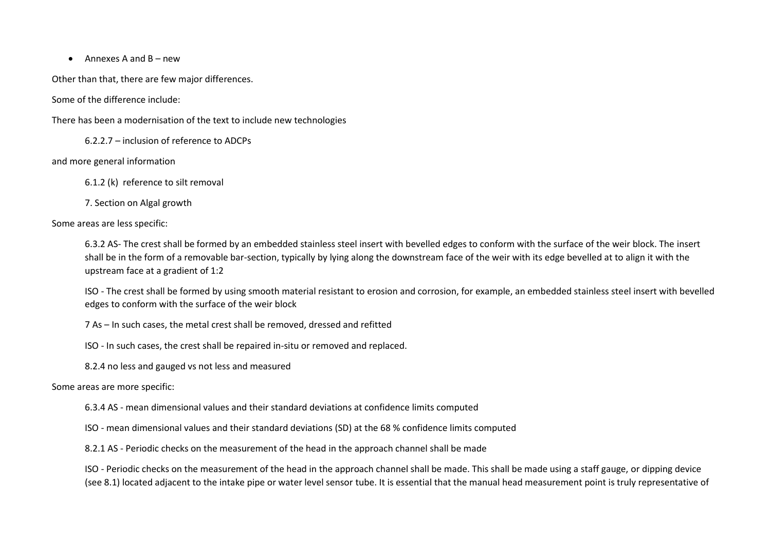• Annexes A and  $B - new$ 

Other than that, there are few major differences.

Some of the difference include:

There has been a modernisation of the text to include new technologies

6.2.2.7 – inclusion of reference to ADCPs

and more general information

6.1.2 (k) reference to silt removal

7. Section on Algal growth

Some areas are less specific:

6.3.2 AS- The crest shall be formed by an embedded stainless steel insert with bevelled edges to conform with the surface of the weir block. The insert shall be in the form of a removable bar-section, typically by lying along the downstream face of the weir with its edge bevelled at to align it with the upstream face at a gradient of 1:2

ISO - The crest shall be formed by using smooth material resistant to erosion and corrosion, for example, an embedded stainless steel insert with bevelled edges to conform with the surface of the weir block

7 As – In such cases, the metal crest shall be removed, dressed and refitted

ISO - In such cases, the crest shall be repaired in-situ or removed and replaced.

8.2.4 no less and gauged vs not less and measured

#### Some areas are more specific:

6.3.4 AS - mean dimensional values and their standard deviations at confidence limits computed

ISO - mean dimensional values and their standard deviations (SD) at the 68 % confidence limits computed

8.2.1 AS - Periodic checks on the measurement of the head in the approach channel shall be made

ISO - Periodic checks on the measurement of the head in the approach channel shall be made. This shall be made using a staff gauge, or dipping device (see 8.1) located adjacent to the intake pipe or water level sensor tube. It is essential that the manual head measurement point is truly representative of